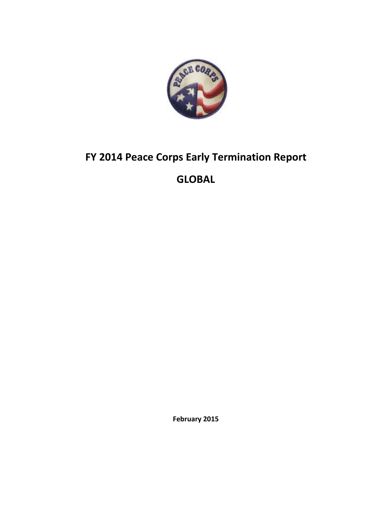

# **FY 2014 Peace Corps Early Termination Report**

## **GLOBAL**

**February 2015**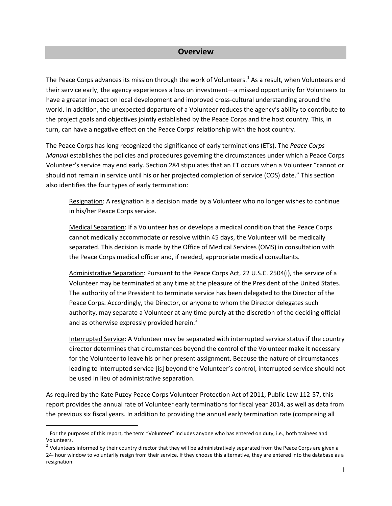#### **Overview**

The Peace Corps advances its mission through the work of Volunteers.<sup>[1](#page-1-0)</sup> As a result, when Volunteers end their service early, the agency experiences a loss on investment—a missed opportunity for Volunteers to have a greater impact on local development and improved cross-cultural understanding around the world. In addition, the unexpected departure of a Volunteer reduces the agency's ability to contribute to the project goals and objectives jointly established by the Peace Corps and the host country. This, in turn, can have a negative effect on the Peace Corps' relationship with the host country.

The Peace Corps has long recognized the significance of early terminations (ETs). The *Peace Corps Manual* establishes the policies and procedures governing the circumstances under which a Peace Corps Volunteer's service may end early. Section 284 stipulates that an ET occurs when a Volunteer "cannot or should not remain in service until his or her projected completion of service (COS) date." This section also identifies the four types of early termination:

Resignation: A resignation is a decision made by a Volunteer who no longer wishes to continue in his/her Peace Corps service.

Medical Separation: If a Volunteer has or develops a medical condition that the Peace Corps cannot medically accommodate or resolve within 45 days, the Volunteer will be medically separated. This decision is made by the Office of Medical Services (OMS) in consultation with the Peace Corps medical officer and, if needed, appropriate medical consultants.

Administrative Separation: Pursuant to the Peace Corps Act, 22 U.S.C. 2504(i), the service of a Volunteer may be terminated at any time at the pleasure of the President of the United States. The authority of the President to terminate service has been delegated to the Director of the Peace Corps. Accordingly, the Director, or anyone to whom the Director delegates such authority, may separate a Volunteer at any time purely at the discretion of the deciding official and as otherwise expressly provided herein. $<sup>2</sup>$  $<sup>2</sup>$  $<sup>2</sup>$ </sup>

Interrupted Service: A Volunteer may be separated with interrupted service status if the country director determines that circumstances beyond the control of the Volunteer make it necessary for the Volunteer to leave his or her present assignment. Because the nature of circumstances leading to interrupted service [is] beyond the Volunteer's control, interrupted service should not be used in lieu of administrative separation.

As required by the Kate Puzey Peace Corps Volunteer Protection Act of 2011, Public Law 112-57, this report provides the annual rate of Volunteer early terminations for fiscal year 2014, as well as data from the previous six fiscal years. In addition to providing the annual early termination rate (comprising all

 $\overline{a}$ 

<span id="page-1-0"></span> $1$  For the purposes of this report, the term "Volunteer" includes anyone who has entered on duty, i.e., both trainees and Volunteers.

<span id="page-1-1"></span> $2$  Volunteers informed by their country director that they will be administratively separated from the Peace Corps are given a 24- hour window to voluntarily resign from their service. If they choose this alternative, they are entered into the database as a resignation.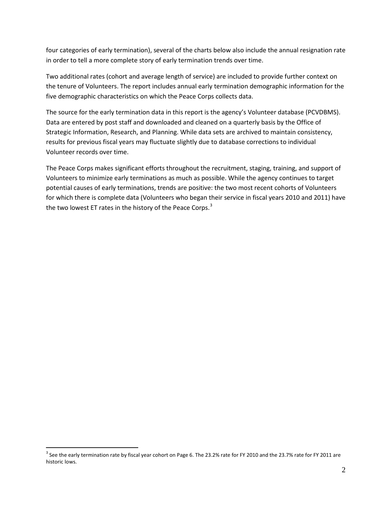four categories of early termination), several of the charts below also include the annual resignation rate in order to tell a more complete story of early termination trends over time.

Two additional rates (cohort and average length of service) are included to provide further context on the tenure of Volunteers. The report includes annual early termination demographic information for the five demographic characteristics on which the Peace Corps collects data.

The source for the early termination data in this report is the agency's Volunteer database (PCVDBMS). Data are entered by post staff and downloaded and cleaned on a quarterly basis by the Office of Strategic Information, Research, and Planning. While data sets are archived to maintain consistency, results for previous fiscal years may fluctuate slightly due to database corrections to individual Volunteer records over time.

The Peace Corps makes significant efforts throughout the recruitment, staging, training, and support of Volunteers to minimize early terminations as much as possible. While the agency continues to target potential causes of early terminations, trends are positive: the two most recent cohorts of Volunteers for which there is complete data (Volunteers who began their service in fiscal years 2010 and 2011) have the two lowest ET rates in the history of the Peace Corps. $3$ 

 $\overline{a}$ 

<span id="page-2-0"></span><sup>&</sup>lt;sup>3</sup> See the early termination rate by fiscal year cohort on Page 6. The 23.2% rate for FY 2010 and the 23.7% rate for FY 2011 are historic lows.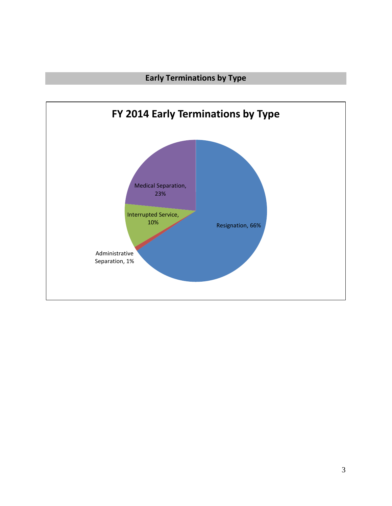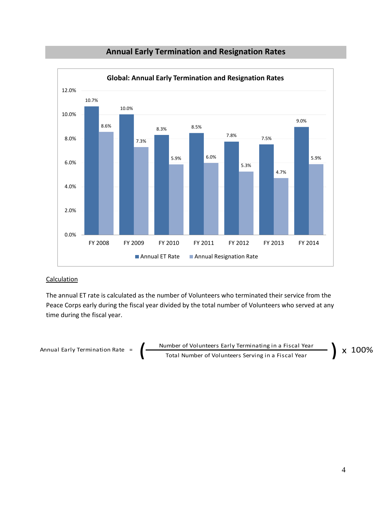

## **Annual Early Termination and Resignation Rates**

#### **Calculation**

The annual ET rate is calculated as the number of Volunteers who terminated their service from the Peace Corps early during the fiscal year divided by the total number of Volunteers who served at any time during the fiscal year.

Annual Early Termination Rate = 
$$
\left(\frac{\text{Number of Volumbers Early Terminating in a Fiscal Year}}{\text{Total Number of Volumbers Serving in a Fiscal Year}}\right) \times 100\%
$$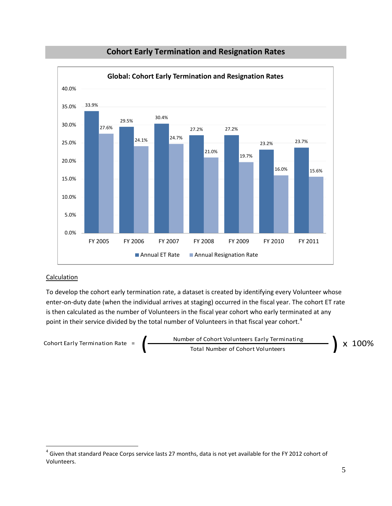

## **Cohort Early Termination and Resignation Rates**

#### **Calculation**

 $\overline{a}$ 

To develop the cohort early termination rate, a dataset is created by identifying every Volunteer whose enter-on-duty date (when the individual arrives at staging) occurred in the fiscal year. The cohort ET rate is then calculated as the number of Volunteers in the fiscal year cohort who early terminated at any point in their service divided by the total number of Volunteers in that fiscal year cohort.<sup>[4](#page-5-0)</sup>



<span id="page-5-0"></span><sup>&</sup>lt;sup>4</sup> Given that standard Peace Corps service lasts 27 months, data is not yet available for the FY 2012 cohort of Volunteers.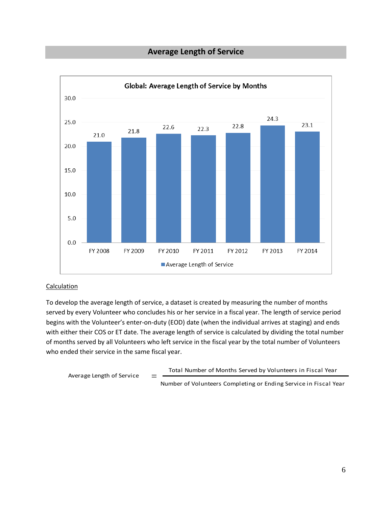## **Average Length of Service**



#### Calculation

To develop the average length of service, a dataset is created by measuring the number of months served by every Volunteer who concludes his or her service in a fiscal year. The length of service period begins with the Volunteer's enter-on-duty (EOD) date (when the individual arrives at staging) and ends with either their COS or ET date. The average length of service is calculated by dividing the total number of months served by all Volunteers who left service in the fiscal year by the total number of Volunteers who ended their service in the same fiscal year.

```
Average Length of Service =
```
Total Number of Months Served by Volunteers in Fiscal Year

Number of Volunteers Completing or Ending Service in Fiscal Year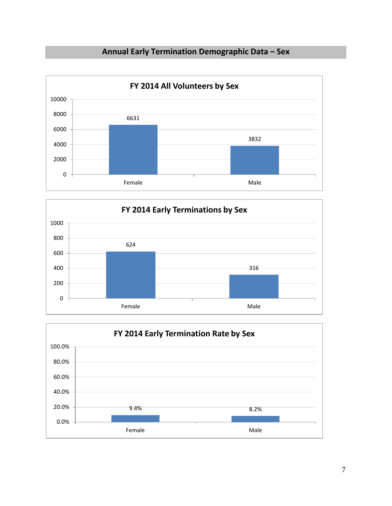## **Annual Early Termination Demographic Data – Sex**





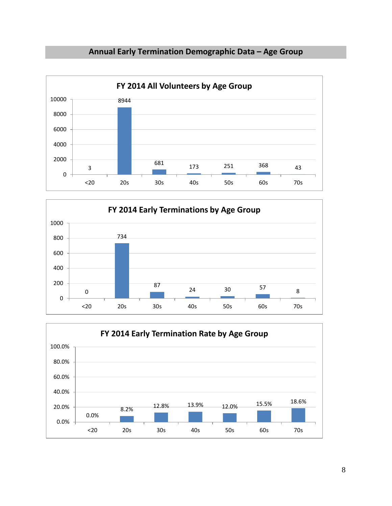





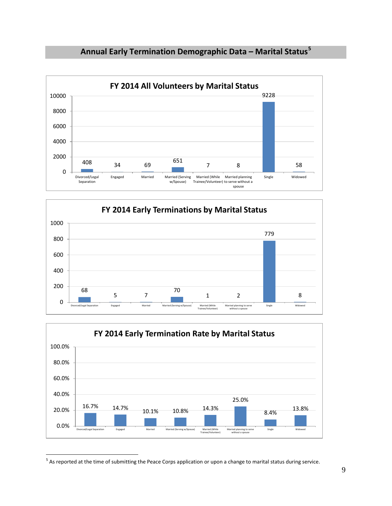







<span id="page-9-0"></span> $^5$  As reported at the time of submitting the Peace Corps application or upon a change to marital status during service.

 $\overline{a}$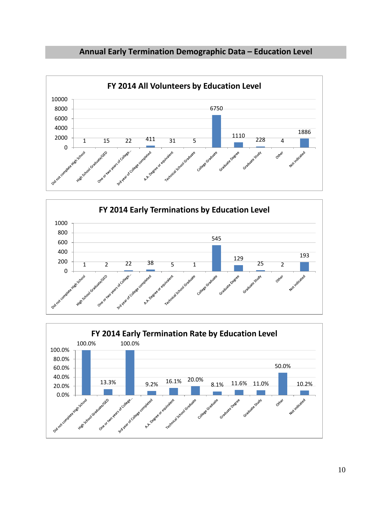





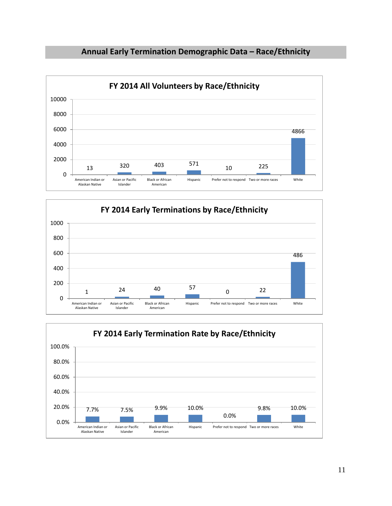